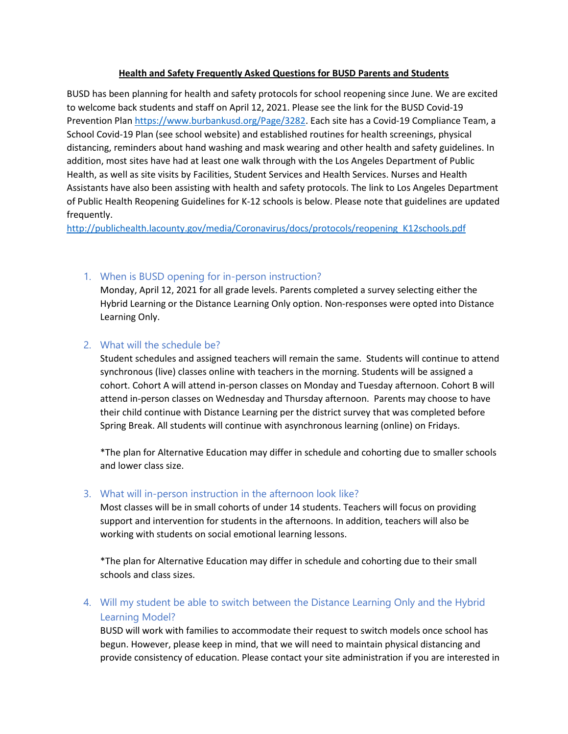## **Health and Safety Frequently Asked Questions for BUSD Parents and Students**

BUSD has been planning for health and safety protocols for school reopening since June. We are excited to welcome back students and staff on April 12, 2021. Please see the link for the BUSD Covid-19 Prevention Plan [https://www.burbankusd.org/Page/3282.](https://www.burbankusd.org/Page/3282) Each site has a Covid-19 Compliance Team, a School Covid-19 Plan (see school website) and established routines for health screenings, physical distancing, reminders about hand washing and mask wearing and other health and safety guidelines. In addition, most sites have had at least one walk through with the Los Angeles Department of Public Health, as well as site visits by Facilities, Student Services and Health Services. Nurses and Health Assistants have also been assisting with health and safety protocols. The link to Los Angeles Department of Public Health Reopening Guidelines for K-12 schools is below. Please note that guidelines are updated frequently.

[http://publichealth.lacounty.gov/media/Coronavirus/docs/protocols/reopening\\_K12schools.pdf](http://publichealth.lacounty.gov/media/Coronavirus/docs/protocols/reopening_K12schools.pdf)

# 1. When is BUSD opening for in-person instruction?

Monday, April 12, 2021 for all grade levels. Parents completed a survey selecting either the Hybrid Learning or the Distance Learning Only option. Non-responses were opted into Distance Learning Only.

# 2. What will the schedule be?

Student schedules and assigned teachers will remain the same. Students will continue to attend synchronous (live) classes online with teachers in the morning. Students will be assigned a cohort. Cohort A will attend in-person classes on Monday and Tuesday afternoon. Cohort B will attend in-person classes on Wednesday and Thursday afternoon. Parents may choose to have their child continue with Distance Learning per the district survey that was completed before Spring Break. All students will continue with asynchronous learning (online) on Fridays.

\*The plan for Alternative Education may differ in schedule and cohorting due to smaller schools and lower class size.

## 3. What will in-person instruction in the afternoon look like?

Most classes will be in small cohorts of under 14 students. Teachers will focus on providing support and intervention for students in the afternoons. In addition, teachers will also be working with students on social emotional learning lessons.

\*The plan for Alternative Education may differ in schedule and cohorting due to their small schools and class sizes.

4. Will my student be able to switch between the Distance Learning Only and the Hybrid Learning Model?

BUSD will work with families to accommodate their request to switch models once school has begun. However, please keep in mind, that we will need to maintain physical distancing and provide consistency of education. Please contact your site administration if you are interested in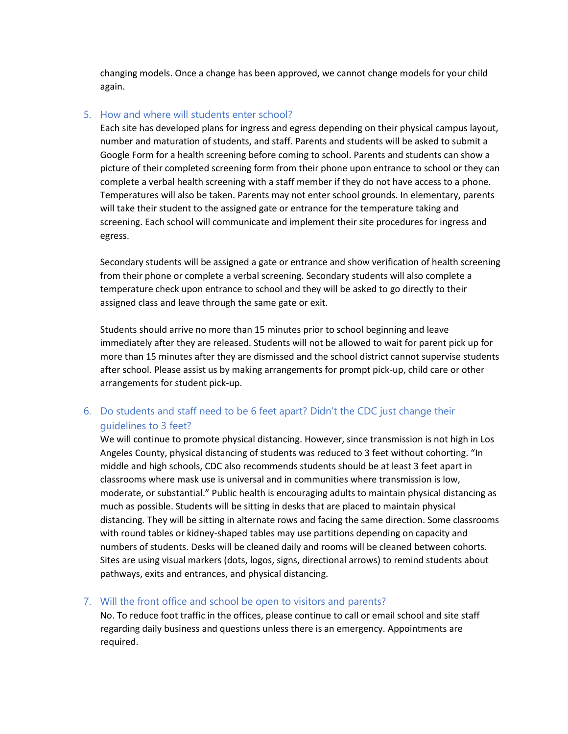changing models. Once a change has been approved, we cannot change models for your child again.

# 5. How and where will students enter school?

Each site has developed plans for ingress and egress depending on their physical campus layout, number and maturation of students, and staff. Parents and students will be asked to submit a Google Form for a health screening before coming to school. Parents and students can show a picture of their completed screening form from their phone upon entrance to school or they can complete a verbal health screening with a staff member if they do not have access to a phone. Temperatures will also be taken. Parents may not enter school grounds. In elementary, parents will take their student to the assigned gate or entrance for the temperature taking and screening. Each school will communicate and implement their site procedures for ingress and egress.

Secondary students will be assigned a gate or entrance and show verification of health screening from their phone or complete a verbal screening. Secondary students will also complete a temperature check upon entrance to school and they will be asked to go directly to their assigned class and leave through the same gate or exit.

Students should arrive no more than 15 minutes prior to school beginning and leave immediately after they are released. Students will not be allowed to wait for parent pick up for more than 15 minutes after they are dismissed and the school district cannot supervise students after school. Please assist us by making arrangements for prompt pick-up, child care or other arrangements for student pick-up.

# 6. Do students and staff need to be 6 feet apart? Didn't the CDC just change their guidelines to 3 feet?

We will continue to promote physical distancing. However, since transmission is not high in Los Angeles County, physical distancing of students was reduced to 3 feet without cohorting. "In middle and high schools, CDC also recommends students should be at least 3 feet apart in classrooms where mask use is universal and in communities where transmission is low, moderate, or substantial." Public health is encouraging adults to maintain physical distancing as much as possible. Students will be sitting in desks that are placed to maintain physical distancing. They will be sitting in alternate rows and facing the same direction. Some classrooms with round tables or kidney-shaped tables may use partitions depending on capacity and numbers of students. Desks will be cleaned daily and rooms will be cleaned between cohorts. Sites are using visual markers (dots, logos, signs, directional arrows) to remind students about pathways, exits and entrances, and physical distancing.

# 7. Will the front office and school be open to visitors and parents?

No. To reduce foot traffic in the offices, please continue to call or email school and site staff regarding daily business and questions unless there is an emergency. Appointments are required.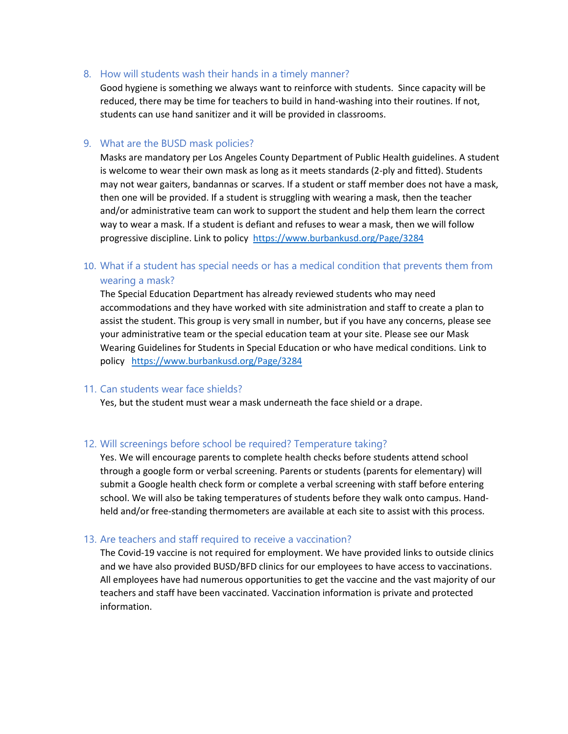## 8. How will students wash their hands in a timely manner?

Good hygiene is something we always want to reinforce with students. Since capacity will be reduced, there may be time for teachers to build in hand-washing into their routines. If not, students can use hand sanitizer and it will be provided in classrooms.

## 9. What are the BUSD mask policies?

Masks are mandatory per Los Angeles County Department of Public Health guidelines. A student is welcome to wear their own mask as long as it meets standards (2-ply and fitted). Students may not wear gaiters, bandannas or scarves. If a student or staff member does not have a mask, then one will be provided. If a student is struggling with wearing a mask, then the teacher and/or administrative team can work to support the student and help them learn the correct way to wear a mask. If a student is defiant and refuses to wear a mask, then we will follow progressive discipline. Link to policy<https://www.burbankusd.org/Page/3284>

# 10. What if a student has special needs or has a medical condition that prevents them from wearing a mask?

The Special Education Department has already reviewed students who may need accommodations and they have worked with site administration and staff to create a plan to assist the student. This group is very small in number, but if you have any concerns, please see your administrative team or the special education team at your site. Please see our Mask Wearing Guidelines for Students in Special Education or who have medical conditions. Link to policy <https://www.burbankusd.org/Page/3284>

#### 11. Can students wear face shields?

Yes, but the student must wear a mask underneath the face shield or a drape.

#### 12. Will screenings before school be required? Temperature taking?

Yes. We will encourage parents to complete health checks before students attend school through a google form or verbal screening. Parents or students (parents for elementary) will submit a Google health check form or complete a verbal screening with staff before entering school. We will also be taking temperatures of students before they walk onto campus. Handheld and/or free-standing thermometers are available at each site to assist with this process.

#### 13. Are teachers and staff required to receive a vaccination?

The Covid-19 vaccine is not required for employment. We have provided links to outside clinics and we have also provided BUSD/BFD clinics for our employees to have access to vaccinations. All employees have had numerous opportunities to get the vaccine and the vast majority of our teachers and staff have been vaccinated. Vaccination information is private and protected information.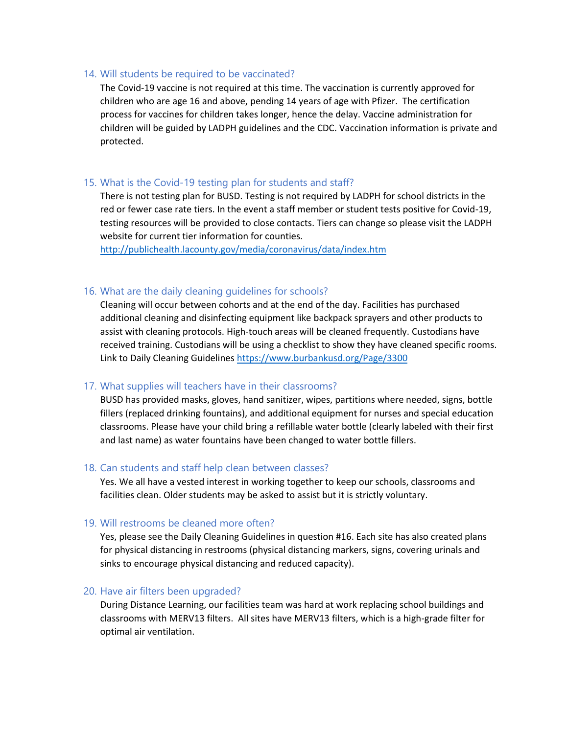#### 14. Will students be required to be vaccinated?

The Covid-19 vaccine is not required at this time. The vaccination is currently approved for children who are age 16 and above, pending 14 years of age with Pfizer. The certification process for vaccines for children takes longer, hence the delay. Vaccine administration for children will be guided by LADPH guidelines and the CDC. Vaccination information is private and protected.

## 15. What is the Covid-19 testing plan for students and staff?

There is not testing plan for BUSD. Testing is not required by LADPH for school districts in the red or fewer case rate tiers. In the event a staff member or student tests positive for Covid-19, testing resources will be provided to close contacts. Tiers can change so please visit the LADPH website for current tier information for counties.

<http://publichealth.lacounty.gov/media/coronavirus/data/index.htm>

#### 16. What are the daily cleaning guidelines for schools?

Cleaning will occur between cohorts and at the end of the day. Facilities has purchased additional cleaning and disinfecting equipment like backpack sprayers and other products to assist with cleaning protocols. High-touch areas will be cleaned frequently. Custodians have received training. Custodians will be using a checklist to show they have cleaned specific rooms. Link to Daily Cleaning Guidelines<https://www.burbankusd.org/Page/3300>

#### 17. What supplies will teachers have in their classrooms?

BUSD has provided masks, gloves, hand sanitizer, wipes, partitions where needed, signs, bottle fillers (replaced drinking fountains), and additional equipment for nurses and special education classrooms. Please have your child bring a refillable water bottle (clearly labeled with their first and last name) as water fountains have been changed to water bottle fillers.

#### 18. Can students and staff help clean between classes?

Yes. We all have a vested interest in working together to keep our schools, classrooms and facilities clean. Older students may be asked to assist but it is strictly voluntary.

#### 19. Will restrooms be cleaned more often?

Yes, please see the Daily Cleaning Guidelines in question #16. Each site has also created plans for physical distancing in restrooms (physical distancing markers, signs, covering urinals and sinks to encourage physical distancing and reduced capacity).

### 20. Have air filters been upgraded?

During Distance Learning, our facilities team was hard at work replacing school buildings and classrooms with MERV13 filters. All sites have MERV13 filters, which is a high-grade filter for optimal air ventilation.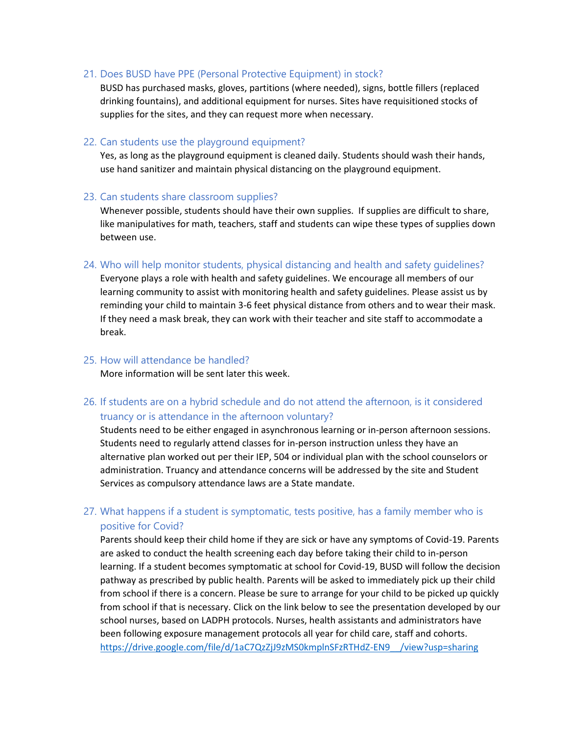#### 21. Does BUSD have PPE (Personal Protective Equipment) in stock?

BUSD has purchased masks, gloves, partitions (where needed), signs, bottle fillers (replaced drinking fountains), and additional equipment for nurses. Sites have requisitioned stocks of supplies for the sites, and they can request more when necessary.

### 22. Can students use the playground equipment?

Yes, as long as the playground equipment is cleaned daily. Students should wash their hands, use hand sanitizer and maintain physical distancing on the playground equipment.

#### 23. Can students share classroom supplies?

Whenever possible, students should have their own supplies. If supplies are difficult to share, like manipulatives for math, teachers, staff and students can wipe these types of supplies down between use.

24. Who will help monitor students, physical distancing and health and safety guidelines?

Everyone plays a role with health and safety guidelines. We encourage all members of our learning community to assist with monitoring health and safety guidelines. Please assist us by reminding your child to maintain 3-6 feet physical distance from others and to wear their mask. If they need a mask break, they can work with their teacher and site staff to accommodate a break.

## 25. How will attendance be handled?

More information will be sent later this week.

# 26. If students are on a hybrid schedule and do not attend the afternoon, is it considered truancy or is attendance in the afternoon voluntary?

Students need to be either engaged in asynchronous learning or in-person afternoon sessions. Students need to regularly attend classes for in-person instruction unless they have an alternative plan worked out per their IEP, 504 or individual plan with the school counselors or administration. Truancy and attendance concerns will be addressed by the site and Student Services as compulsory attendance laws are a State mandate.

# 27. What happens if a student is symptomatic, tests positive, has a family member who is positive for Covid?

Parents should keep their child home if they are sick or have any symptoms of Covid-19. Parents are asked to conduct the health screening each day before taking their child to in-person learning. If a student becomes symptomatic at school for Covid-19, BUSD will follow the decision pathway as prescribed by public health. Parents will be asked to immediately pick up their child from school if there is a concern. Please be sure to arrange for your child to be picked up quickly from school if that is necessary. Click on the link below to see the presentation developed by our school nurses, based on LADPH protocols. Nurses, health assistants and administrators have been following exposure management protocols all year for child care, staff and cohorts. [https://drive.google.com/file/d/1aC7QzZjJ9zMS0kmplnSFzRTHdZ-EN9\\_\\_/view?usp=sharing](https://drive.google.com/file/d/1aC7QzZjJ9zMS0kmplnSFzRTHdZ-EN9__/view?usp=sharing)